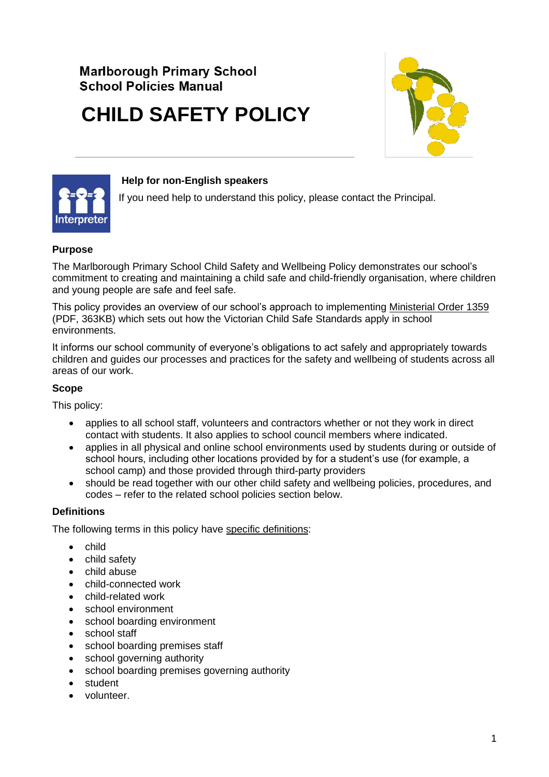# **Marlborough Primary School School Policies Manual**

# **CHILD SAFETY POLICY**





#### **Help for non-English speakers**

If you need help to understand this policy, please contact the Principal.

# **Purpose**

The Marlborough Primary School Child Safety and Wellbeing Policy demonstrates our school's commitment to creating and maintaining a child safe and child-friendly organisation, where children and young people are safe and feel safe.

This policy provides an overview of our school's approach to implementing [Ministerial Order 1359](https://www.education.vic.gov.au/Documents/about/programs/health/protect/Ministerial_Order.pdf) (PDF, 363KB) which sets out how the Victorian Child Safe Standards apply in school environments.

It informs our school community of everyone's obligations to act safely and appropriately towards children and guides our processes and practices for the safety and wellbeing of students across all areas of our work.

#### **Scope**

This policy:

- applies to all school staff, volunteers and contractors whether or not they work in direct contact with students. It also applies to school council members where indicated.
- applies in all physical and online school environments used by students during or outside of school hours, including other locations provided by for a student's use (for example, a school camp) and those provided through third-party providers
- should be read together with our other child safety and wellbeing policies, procedures, and codes – refer to the related school policies section below.

# **Definitions**

The following terms in this policy have [specific definitions:](https://www.vic.gov.au/child-safe-standards-definitions)

- child
- child safety
- child abuse
- child-connected work
- child-related work
- school environment
- school boarding environment
- school staff
- school boarding premises staff
- school governing authority
- school boarding premises governing authority
- student
- volunteer.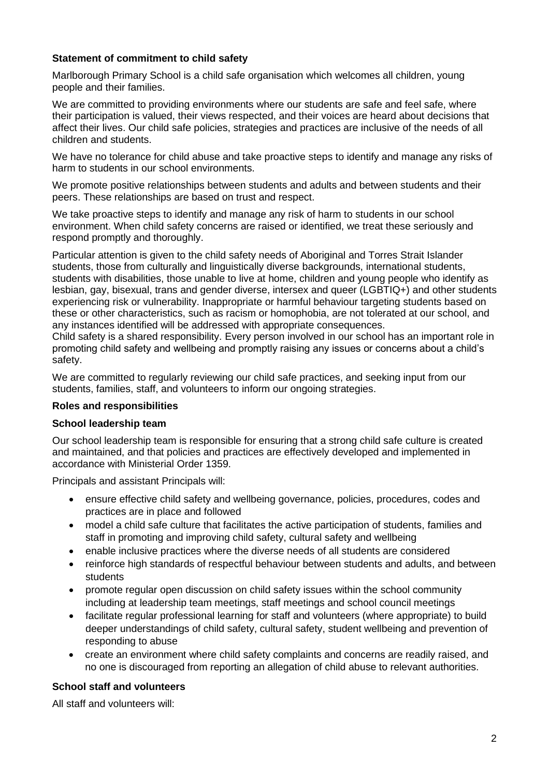#### **Statement of commitment to child safety**

Marlborough Primary School is a child safe organisation which welcomes all children, young people and their families.

We are committed to providing environments where our students are safe and feel safe, where their participation is valued, their views respected, and their voices are heard about decisions that affect their lives. Our child safe policies, strategies and practices are inclusive of the needs of all children and students.

We have no tolerance for child abuse and take proactive steps to identify and manage any risks of harm to students in our school environments.

We promote positive relationships between students and adults and between students and their peers. These relationships are based on trust and respect.

We take proactive steps to identify and manage any risk of harm to students in our school environment. When child safety concerns are raised or identified, we treat these seriously and respond promptly and thoroughly.

Particular attention is given to the child safety needs of Aboriginal and Torres Strait Islander students, those from culturally and linguistically diverse backgrounds, international students, students with disabilities, those unable to live at home, children and young people who identify as lesbian, gay, bisexual, trans and gender diverse, intersex and queer (LGBTIQ+) and other students experiencing risk or vulnerability. Inappropriate or harmful behaviour targeting students based on these or other characteristics, such as racism or homophobia, are not tolerated at our school, and any instances identified will be addressed with appropriate consequences.

Child safety is a shared responsibility. Every person involved in our school has an important role in promoting child safety and wellbeing and promptly raising any issues or concerns about a child's safety.

We are committed to regularly reviewing our child safe practices, and seeking input from our students, families, staff, and volunteers to inform our ongoing strategies.

# **Roles and responsibilities**

#### **School leadership team**

Our school leadership team is responsible for ensuring that a strong child safe culture is created and maintained, and that policies and practices are effectively developed and implemented in accordance with Ministerial Order 1359.

Principals and assistant Principals will:

- ensure effective child safety and wellbeing governance, policies, procedures, codes and practices are in place and followed
- model a child safe culture that facilitates the active participation of students, families and staff in promoting and improving child safety, cultural safety and wellbeing
- enable inclusive practices where the diverse needs of all students are considered
- reinforce high standards of respectful behaviour between students and adults, and between students
- promote regular open discussion on child safety issues within the school community including at leadership team meetings, staff meetings and school council meetings
- facilitate regular professional learning for staff and volunteers (where appropriate) to build deeper understandings of child safety, cultural safety, student wellbeing and prevention of responding to abuse
- create an environment where child safety complaints and concerns are readily raised, and no one is discouraged from reporting an allegation of child abuse to relevant authorities.

# **School staff and volunteers**

All staff and volunteers will: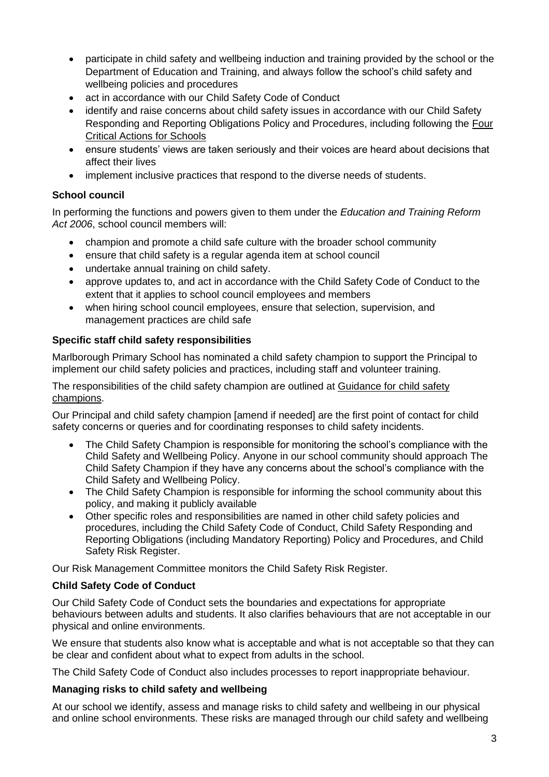- participate in child safety and wellbeing induction and training provided by the school or the Department of Education and Training, and always follow the school's child safety and wellbeing policies and procedures
- act in accordance with our Child Safety Code of Conduct
- identify and raise concerns about child safety issues in accordance with our Child Safety Responding and Reporting Obligations Policy and Procedures, including following the [Four](https://www.education.vic.gov.au/school/teachers/health/childprotection/Pages/report.aspx)  [Critical Actions for Schools](https://www.education.vic.gov.au/school/teachers/health/childprotection/Pages/report.aspx)
- ensure students' views are taken seriously and their voices are heard about decisions that affect their lives
- implement inclusive practices that respond to the diverse needs of students.

# **School council**

In performing the functions and powers given to them under the *Education and Training Reform Act 2006*, school council members will:

- champion and promote a child safe culture with the broader school community
- ensure that child safety is a regular agenda item at school council
- undertake annual training on child safety.
- approve updates to, and act in accordance with the Child Safety Code of Conduct to the extent that it applies to school council employees and members
- when hiring school council employees, ensure that selection, supervision, and management practices are child safe

# **Specific staff child safety responsibilities**

Marlborough Primary School has nominated a child safety champion to support the Principal to implement our child safety policies and practices, including staff and volunteer training.

The responsibilities of the child safety champion are outlined at [Guidance for child safety](https://www.vic.gov.au/guidance-child-safety-champions) [champions.](https://www.vic.gov.au/guidance-child-safety-champions)

Our Principal and child safety champion [amend if needed] are the first point of contact for child safety concerns or queries and for coordinating responses to child safety incidents.

- The Child Safety Champion is responsible for monitoring the school's compliance with the Child Safety and Wellbeing Policy. Anyone in our school community should approach The Child Safety Champion if they have any concerns about the school's compliance with the Child Safety and Wellbeing Policy.
- The Child Safety Champion is responsible for informing the school community about this policy, and making it publicly available
- Other specific roles and responsibilities are named in other child safety policies and procedures, including the Child Safety Code of Conduct, Child Safety Responding and Reporting Obligations (including Mandatory Reporting) Policy and Procedures, and Child Safety Risk Register.

Our Risk Management Committee monitors the Child Safety Risk Register.

# **Child Safety Code of Conduct**

Our Child Safety Code of Conduct sets the boundaries and expectations for appropriate behaviours between adults and students. It also clarifies behaviours that are not acceptable in our physical and online environments.

We ensure that students also know what is acceptable and what is not acceptable so that they can be clear and confident about what to expect from adults in the school.

The Child Safety Code of Conduct also includes processes to report inappropriate behaviour.

# **Managing risks to child safety and wellbeing**

At our school we identify, assess and manage risks to child safety and wellbeing in our physical and online school environments. These risks are managed through our child safety and wellbeing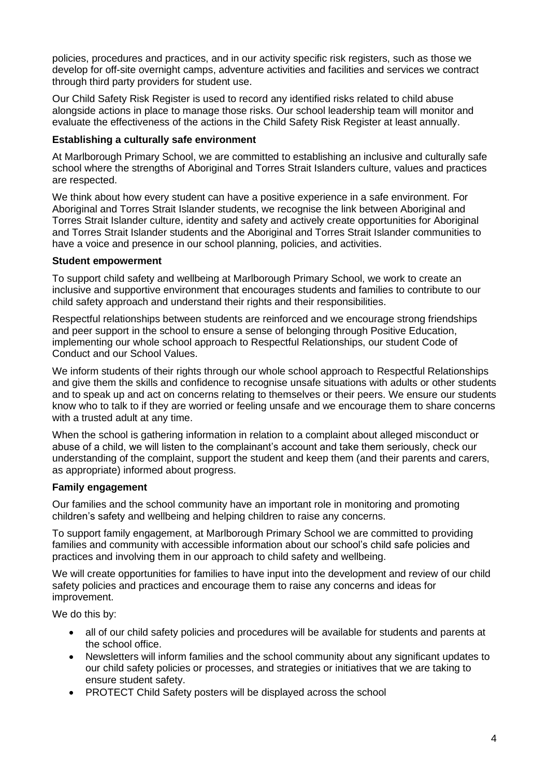policies, procedures and practices, and in our activity specific risk registers, such as those we develop for off-site overnight camps, adventure activities and facilities and services we contract through third party providers for student use.

Our Child Safety Risk Register is used to record any identified risks related to child abuse alongside actions in place to manage those risks. Our school leadership team will monitor and evaluate the effectiveness of the actions in the Child Safety Risk Register at least annually.

#### **Establishing a culturally safe environment**

At Marlborough Primary School, we are committed to establishing an inclusive and culturally safe school where the strengths of Aboriginal and Torres Strait Islanders culture, values and practices are respected.

We think about how every student can have a positive experience in a safe environment. For Aboriginal and Torres Strait Islander students, we recognise the link between Aboriginal and Torres Strait Islander culture, identity and safety and actively create opportunities for Aboriginal and Torres Strait Islander students and the Aboriginal and Torres Strait Islander communities to have a voice and presence in our school planning, policies, and activities.

#### **Student empowerment**

To support child safety and wellbeing at Marlborough Primary School, we work to create an inclusive and supportive environment that encourages students and families to contribute to our child safety approach and understand their rights and their responsibilities.

Respectful relationships between students are reinforced and we encourage strong friendships and peer support in the school to ensure a sense of belonging through Positive Education, implementing our whole school approach to Respectful Relationships, our student Code of Conduct and our School Values.

We inform students of their rights through our whole school approach to Respectful Relationships and give them the skills and confidence to recognise unsafe situations with adults or other students and to speak up and act on concerns relating to themselves or their peers. We ensure our students know who to talk to if they are worried or feeling unsafe and we encourage them to share concerns with a trusted adult at any time.

When the school is gathering information in relation to a complaint about alleged misconduct or abuse of a child, we will listen to the complainant's account and take them seriously, check our understanding of the complaint, support the student and keep them (and their parents and carers, as appropriate) informed about progress.

# **Family engagement**

Our families and the school community have an important role in monitoring and promoting children's safety and wellbeing and helping children to raise any concerns.

To support family engagement, at Marlborough Primary School we are committed to providing families and community with accessible information about our school's child safe policies and practices and involving them in our approach to child safety and wellbeing.

We will create opportunities for families to have input into the development and review of our child safety policies and practices and encourage them to raise any concerns and ideas for improvement.

We do this by:

- all of our child safety policies and procedures will be available for students and parents at the school office.
- Newsletters will inform families and the school community about any significant updates to our child safety policies or processes, and strategies or initiatives that we are taking to ensure student safety.
- PROTECT Child Safety posters will be displayed across the school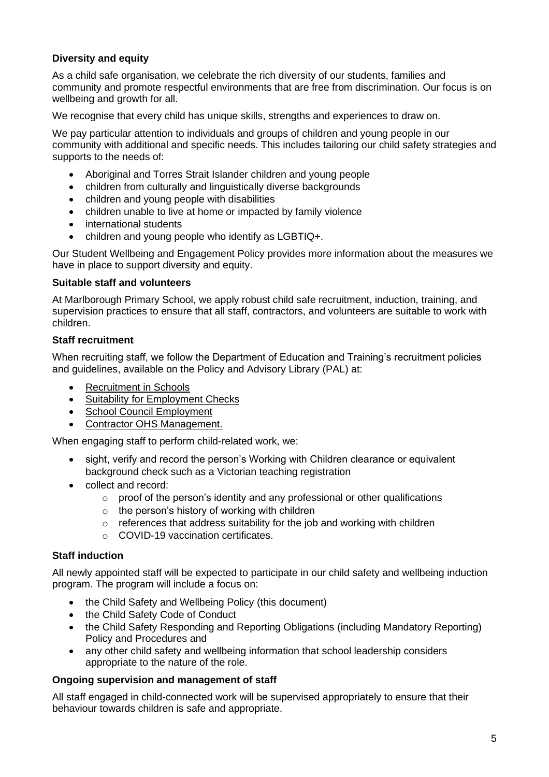# **Diversity and equity**

As a child safe organisation, we celebrate the rich diversity of our students, families and community and promote respectful environments that are free from discrimination. Our focus is on wellbeing and growth for all.

We recognise that every child has unique skills, strengths and experiences to draw on.

We pay particular attention to individuals and groups of children and young people in our community with additional and specific needs. This includes tailoring our child safety strategies and supports to the needs of:

- Aboriginal and Torres Strait Islander children and young people
- children from culturally and linguistically diverse backgrounds
- children and young people with disabilities
- children unable to live at home or impacted by family violence
- international students
- children and young people who identify as LGBTIQ+.

Our Student Wellbeing and Engagement Policy provides more information about the measures we have in place to support diversity and equity.

#### **Suitable staff and volunteers**

At Marlborough Primary School, we apply robust child safe recruitment, induction, training, and supervision practices to ensure that all staff, contractors, and volunteers are suitable to work with children.

#### **Staff recruitment**

When recruiting staff, we follow the Department of Education and Training's recruitment policies and guidelines, available on the Policy and Advisory Library (PAL) at:

- [Recruitment in Schools](https://www2.education.vic.gov.au/pal/recruitment-schools/overview)
- [Suitability for Employment Checks](https://www2.education.vic.gov.au/pal/suitability-employment-checks/overview)
- [School Council Employment](https://www2.education.vic.gov.au/pal/school-council-employment/overview)
- [Contractor OHS Management.](https://www2.education.vic.gov.au/pal/contractor-ohs-management/policy)

When engaging staff to perform child-related work, we:

- sight, verify and record the person's Working with Children clearance or equivalent background check such as a Victorian teaching registration
- collect and record:
	- $\circ$  proof of the person's identity and any professional or other qualifications
	- $\circ$  the person's history of working with children
	- $\circ$  references that address suitability for the job and working with children
	- o COVID-19 vaccination certificates.

# **Staff induction**

All newly appointed staff will be expected to participate in our child safety and wellbeing induction program. The program will include a focus on:

- the Child Safety and Wellbeing Policy (this document)
- the Child Safety Code of Conduct
- the Child Safety Responding and Reporting Obligations (including Mandatory Reporting) Policy and Procedures and
- any other child safety and wellbeing information that school leadership considers appropriate to the nature of the role.

#### **Ongoing supervision and management of staff**

All staff engaged in child-connected work will be supervised appropriately to ensure that their behaviour towards children is safe and appropriate.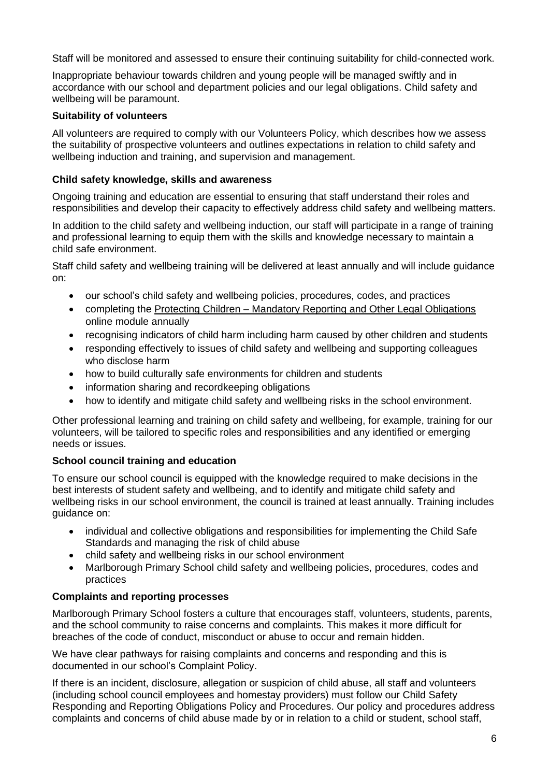Staff will be monitored and assessed to ensure their continuing suitability for child-connected work.

Inappropriate behaviour towards children and young people will be managed swiftly and in accordance with our school and department policies and our legal obligations. Child safety and wellbeing will be paramount.

# **Suitability of volunteers**

All volunteers are required to comply with our Volunteers Policy, which describes how we assess the suitability of prospective volunteers and outlines expectations in relation to child safety and wellbeing induction and training, and supervision and management.

#### **Child safety knowledge, skills and awareness**

Ongoing training and education are essential to ensuring that staff understand their roles and responsibilities and develop their capacity to effectively address child safety and wellbeing matters.

In addition to the child safety and wellbeing induction, our staff will participate in a range of training and professional learning to equip them with the skills and knowledge necessary to maintain a child safe environment.

Staff child safety and wellbeing training will be delivered at least annually and will include guidance on:

- our school's child safety and wellbeing policies, procedures, codes, and practices
- completing the Protecting Children [Mandatory Reporting and Other Legal Obligations](http://elearn.com.au/det/protectingchildren/) online module annually
- recognising indicators of child harm including harm caused by other children and students
- responding effectively to issues of child safety and wellbeing and supporting colleagues who disclose harm
- how to build culturally safe environments for children and students
- information sharing and recordkeeping obligations
- how to identify and mitigate child safety and wellbeing risks in the school environment.

Other professional learning and training on child safety and wellbeing, for example, training for our volunteers, will be tailored to specific roles and responsibilities and any identified or emerging needs or issues.

# **School council training and education**

To ensure our school council is equipped with the knowledge required to make decisions in the best interests of student safety and wellbeing, and to identify and mitigate child safety and wellbeing risks in our school environment, the council is trained at least annually. Training includes guidance on:

- individual and collective obligations and responsibilities for implementing the Child Safe Standards and managing the risk of child abuse
- child safety and wellbeing risks in our school environment
- Marlborough Primary School child safety and wellbeing policies, procedures, codes and practices

# **Complaints and reporting processes**

Marlborough Primary School fosters a culture that encourages staff, volunteers, students, parents, and the school community to raise concerns and complaints. This makes it more difficult for breaches of the code of conduct, misconduct or abuse to occur and remain hidden.

We have clear pathways for raising complaints and concerns and responding and this is documented in our school's Complaint Policy.

If there is an incident, disclosure, allegation or suspicion of child abuse, all staff and volunteers (including school council employees and homestay providers) must follow our Child Safety Responding and Reporting Obligations Policy and Procedures. Our policy and procedures address complaints and concerns of child abuse made by or in relation to a child or student, school staff,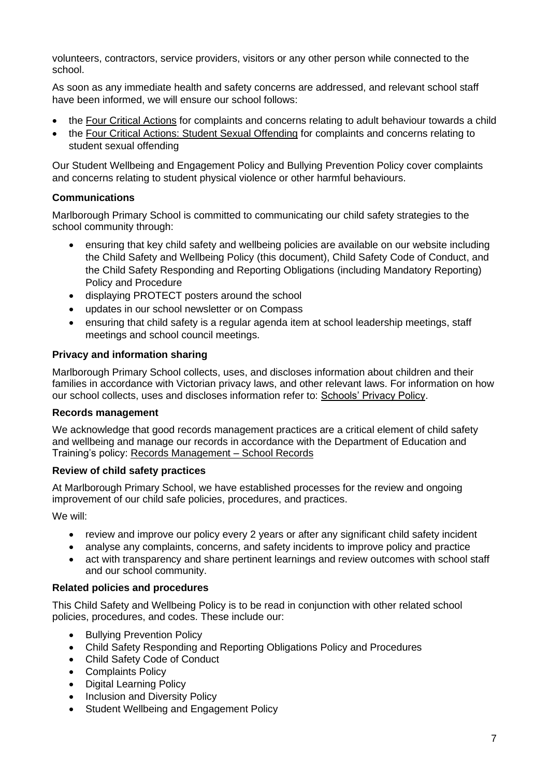volunteers, contractors, service providers, visitors or any other person while connected to the school.

As soon as any immediate health and safety concerns are addressed, and relevant school staff have been informed, we will ensure our school follows:

- the [Four Critical Actions](https://www.education.vic.gov.au/Documents/about/programs/health/protect/FourCriticalActions_ChildAbuse.pdf) for complaints and concerns relating to adult behaviour towards a child
- the [Four Critical Actions: Student Sexual Offending](https://www.education.vic.gov.au/school/teachers/health/childprotection/Pages/stusexual.aspx) for complaints and concerns relating to student sexual offending

Our Student Wellbeing and Engagement Policy and Bullying Prevention Policy cover complaints and concerns relating to student physical violence or other harmful behaviours.

#### **Communications**

Marlborough Primary School is committed to communicating our child safety strategies to the school community through:

- ensuring that key child safety and wellbeing policies are available on our website including the Child Safety and Wellbeing Policy (this document), Child Safety Code of Conduct, and the Child Safety Responding and Reporting Obligations (including Mandatory Reporting) Policy and Procedure
- displaying PROTECT posters around the school
- updates in our school newsletter or on Compass
- ensuring that child safety is a regular agenda item at school leadership meetings, staff meetings and school council meetings.

#### **Privacy and information sharing**

Marlborough Primary School collects, uses, and discloses information about children and their families in accordance with Victorian privacy laws, and other relevant laws. For information on how our school collects, uses and discloses information refer to: [Schools' Privacy Policy.](https://www.education.vic.gov.au/Pages/schoolsprivacypolicy.aspx)

#### **Records management**

We acknowledge that good records management practices are a critical element of child safety and wellbeing and manage our records in accordance with the Department of Education and Training's policy: [Records Management –](https://www2.education.vic.gov.au/pal/records-management/policy) School Records

#### **Review of child safety practices**

At Marlborough Primary School, we have established processes for the review and ongoing improvement of our child safe policies, procedures, and practices.

We will:

- review and improve our policy every 2 years or after any significant child safety incident
- analyse any complaints, concerns, and safety incidents to improve policy and practice
- act with transparency and share pertinent learnings and review outcomes with school staff and our school community.

# **Related policies and procedures**

This Child Safety and Wellbeing Policy is to be read in conjunction with other related school policies, procedures, and codes. These include our:

- Bullying Prevention Policy
- Child Safety Responding and Reporting Obligations Policy and Procedures
- Child Safety Code of Conduct
- Complaints Policy
- Digital Learning Policy
- Inclusion and Diversity Policy
- Student Wellbeing and Engagement Policy